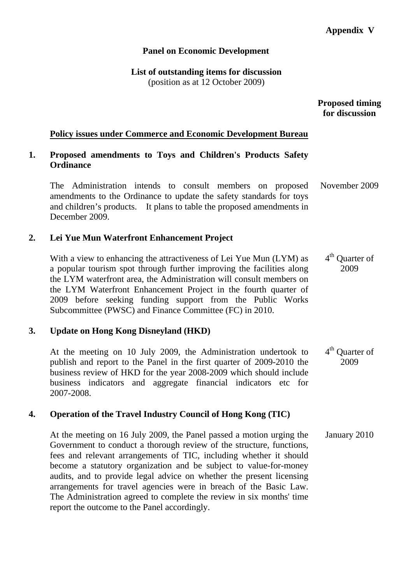### **Panel on Economic Development**

**List of outstanding items for discussion**  (position as at 12 October 2009)

> **Proposed timing for discussion**

#### **Policy issues under Commerce and Economic Development Bureau**

### **1. Proposed amendments to Toys and Children's Products Safety Ordinance**

The Administration intends to consult members on proposed amendments to the Ordinance to update the safety standards for toys and children's products. It plans to table the proposed amendments in December 2009. November 2009

### **2. Lei Yue Mun Waterfront Enhancement Project**

With a view to enhancing the attractiveness of Lei Yue Mun (LYM) as a popular tourism spot through further improving the facilities along the LYM waterfront area, the Administration will consult members on the LYM Waterfront Enhancement Project in the fourth quarter of 2009 before seeking funding support from the Public Works Subcommittee (PWSC) and Finance Committee (FC) in 2010. 4<sup>th</sup> Quarter of 2009

#### **3. Update on Hong Kong Disneyland (HKD)**

At the meeting on 10 July 2009, the Administration undertook to publish and report to the Panel in the first quarter of 2009-2010 the business review of HKD for the year 2008-2009 which should include business indicators and aggregate financial indicators etc for 2007-2008. 4<sup>th</sup> Quarter of 2009

### **4. Operation of the Travel Industry Council of Hong Kong (TIC)**

At the meeting on 16 July 2009, the Panel passed a motion urging the Government to conduct a thorough review of the structure, functions, fees and relevant arrangements of TIC, including whether it should become a statutory organization and be subject to value-for-money audits, and to provide legal advice on whether the present licensing arrangements for travel agencies were in breach of the Basic Law. The Administration agreed to complete the review in six months' time report the outcome to the Panel accordingly. January 2010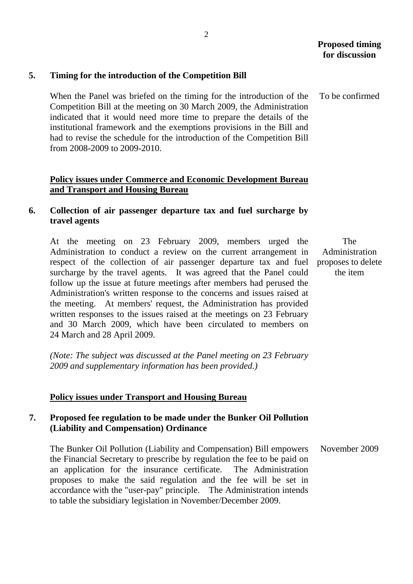To be confirmed

# **5. Timing for the introduction of the Competition Bill**

When the Panel was briefed on the timing for the introduction of the Competition Bill at the meeting on 30 March 2009, the Administration indicated that it would need more time to prepare the details of the institutional framework and the exemptions provisions in the Bill and had to revise the schedule for the introduction of the Competition Bill from 2008-2009 to 2009-2010.

### **Policy issues under Commerce and Economic Development Bureau and Transport and Housing Bureau**

# **6. Collection of air passenger departure tax and fuel surcharge by travel agents**

At the meeting on 23 February 2009, members urged the Administration to conduct a review on the current arrangement in respect of the collection of air passenger departure tax and fuel surcharge by the travel agents. It was agreed that the Panel could follow up the issue at future meetings after members had perused the Administration's written response to the concerns and issues raised at the meeting. At members' request, the Administration has provided written responses to the issues raised at the meetings on 23 February and 30 March 2009, which have been circulated to members on 24 March and 28 April 2009.

The Administration proposes to delete the item

*(Note: The subject was discussed at the Panel meeting on 23 February 2009 and supplementary information has been provided.)* 

#### **Policy issues under Transport and Housing Bureau**

#### **7. Proposed fee regulation to be made under the Bunker Oil Pollution (Liability and Compensation) Ordinance**

The Bunker Oil Pollution (Liability and Compensation) Bill empowers the Financial Secretary to prescribe by regulation the fee to be paid on an application for the insurance certificate. The Administration proposes to make the said regulation and the fee will be set in accordance with the "user-pay" principle. The Administration intends to table the subsidiary legislation in November/December 2009. November 2009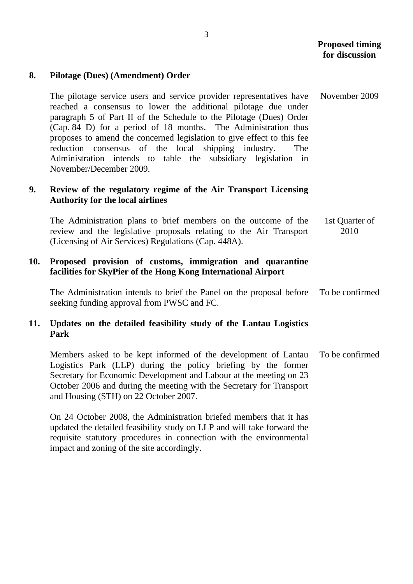#### **8. Pilotage (Dues) (Amendment) Order**

The pilotage service users and service provider representatives have reached a consensus to lower the additional pilotage due under paragraph 5 of Part II of the Schedule to the Pilotage (Dues) Order (Cap. 84 D) for a period of 18 months. The Administration thus proposes to amend the concerned legislation to give effect to this fee reduction consensus of the local shipping industry. The Administration intends to table the subsidiary legislation in November/December 2009. November 2009

### **9. Review of the regulatory regime of the Air Transport Licensing Authority for the local airlines**

The Administration plans to brief members on the outcome of the review and the legislative proposals relating to the Air Transport (Licensing of Air Services) Regulations (Cap. 448A). 1st Quarter of 2010

### **10. Proposed provision of customs, immigration and quarantine facilities for SkyPier of the Hong Kong International Airport**

The Administration intends to brief the Panel on the proposal before seeking funding approval from PWSC and FC. To be confirmed

# **11. Updates on the detailed feasibility study of the Lantau Logistics Park**

Members asked to be kept informed of the development of Lantau Logistics Park (LLP) during the policy briefing by the former Secretary for Economic Development and Labour at the meeting on 23 October 2006 and during the meeting with the Secretary for Transport and Housing (STH) on 22 October 2007. To be confirmed

On 24 October 2008, the Administration briefed members that it has updated the detailed feasibility study on LLP and will take forward the requisite statutory procedures in connection with the environmental impact and zoning of the site accordingly.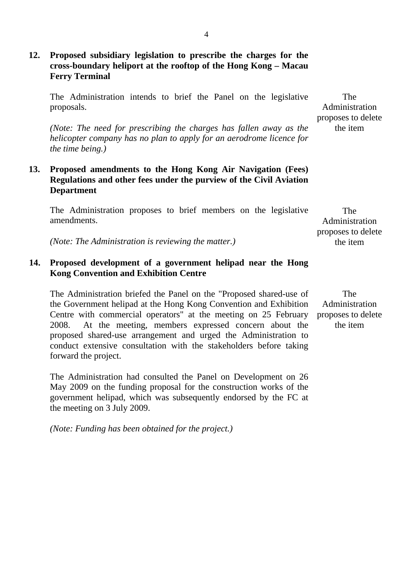# **12. Proposed subsidiary legislation to prescribe the charges for the cross-boundary heliport at the rooftop of the Hong Kong – Macau Ferry Terminal**

The Administration intends to brief the Panel on the legislative proposals.

*(Note: The need for prescribing the charges has fallen away as the helicopter company has no plan to apply for an aerodrome licence for the time being.)* 

### **13. Proposed amendments to the Hong Kong Air Navigation (Fees) Regulations and other fees under the purview of the Civil Aviation Department**

The Administration proposes to brief members on the legislative amendments.

*(Note: The Administration is reviewing the matter.)* 

## **14. Proposed development of a government helipad near the Hong Kong Convention and Exhibition Centre**

The Administration briefed the Panel on the "Proposed shared-use of the Government helipad at the Hong Kong Convention and Exhibition Centre with commercial operators" at the meeting on 25 February 2008. At the meeting, members expressed concern about the proposed shared-use arrangement and urged the Administration to conduct extensive consultation with the stakeholders before taking forward the project.

The Administration had consulted the Panel on Development on 26 May 2009 on the funding proposal for the construction works of the government helipad, which was subsequently endorsed by the FC at the meeting on 3 July 2009.

*(Note: Funding has been obtained for the project.)* 

The Administration proposes to delete the item

The Administration proposes to delete the item

The Administration proposes to delete the item